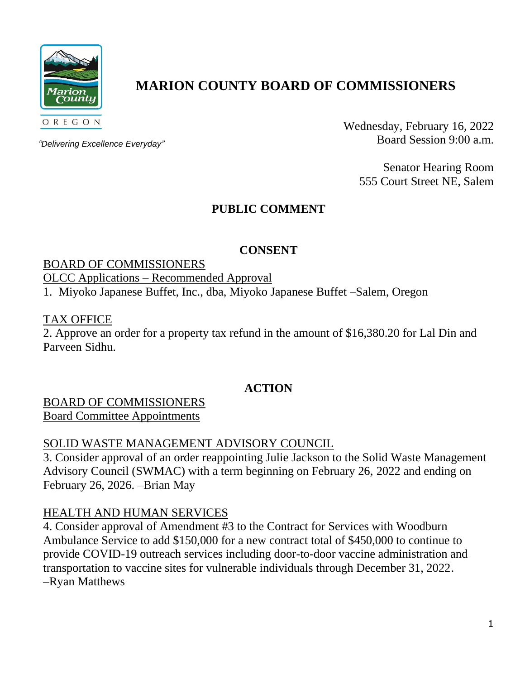

# **MARION COUNTY BOARD OF COMMISSIONERS**

*"Delivering Excellence Everyday"*

Wednesday, February 16, 2022 Board Session 9:00 a.m.

> Senator Hearing Room 555 Court Street NE, Salem

## **PUBLIC COMMENT**

## **CONSENT**

## BOARD OF COMMISSIONERS

## OLCC Applications – Recommended Approval

1. Miyoko Japanese Buffet, Inc., dba, Miyoko Japanese Buffet –Salem, Oregon

## TAX OFFICE

2. Approve an order for a property tax refund in the amount of \$16,380.20 for Lal Din and Parveen Sidhu.

## **ACTION**

## BOARD OF COMMISSIONERS Board Committee Appointments

## SOLID WASTE MANAGEMENT ADVISORY COUNCIL

3. Consider approval of an order reappointing Julie Jackson to the Solid Waste Management Advisory Council (SWMAC) with a term beginning on February 26, 2022 and ending on February 26, 2026. –Brian May

## HEALTH AND HUMAN SERVICES

4. Consider approval of Amendment #3 to the Contract for Services with Woodburn Ambulance Service to add \$150,000 for a new contract total of \$450,000 to continue to provide COVID-19 outreach services including door-to-door vaccine administration and transportation to vaccine sites for vulnerable individuals through December 31, 2022. –Ryan Matthews